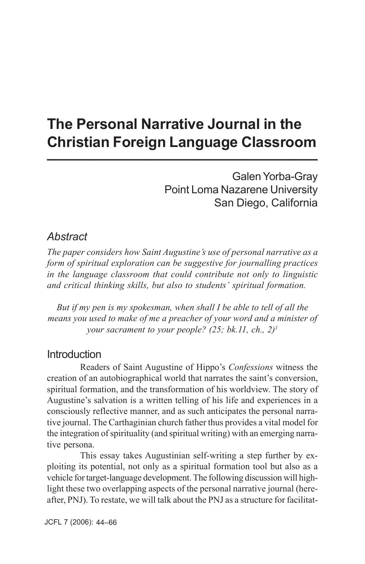# **The Personal Narrative Journal in the Christian Foreign Language Classroom \_\_\_\_\_\_\_\_\_\_\_\_\_\_\_\_\_\_\_\_\_\_\_\_\_\_\_\_\_\_\_\_\_**

 Galen Yorba-Gray Point Loma Nazarene University San Diego, California

## *Abstract*

*The paper considers how Saint Augustine's use of personal narrative as a form of spiritual exploration can be suggestive for journalling practices in the language classroom that could contribute not only to linguistic and critical thinking skills, but also to students' spiritual formation.*

*But if my pen is my spokesman, when shall I be able to tell of all the means you used to make of me a preacher of your word and a minister of your sacrament to your people? (25; bk.11, ch., 2)1*

### **Introduction**

Readers of Saint Augustine of Hippo's *Confessions* witness the creation of an autobiographical world that narrates the saint's conversion, spiritual formation, and the transformation of his worldview. The story of Augustine's salvation is a written telling of his life and experiences in a consciously reflective manner, and as such anticipates the personal narrative journal. The Carthaginian church father thus provides a vital model for the integration of spirituality (and spiritual writing) with an emerging narrative persona.

This essay takes Augustinian self-writing a step further by exploiting its potential, not only as a spiritual formation tool but also as a vehicle for target-language development. The following discussion will highlight these two overlapping aspects of the personal narrative journal (hereafter, PNJ). To restate, we will talk about the PNJ as a structure for facilitat-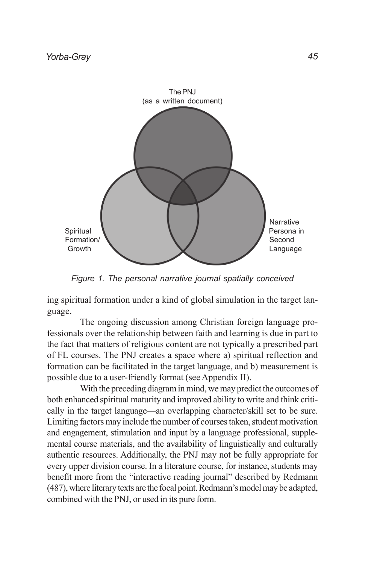

*Figure 1. The personal narrative journal spatially conceived*

ing spiritual formation under a kind of global simulation in the target language.

The ongoing discussion among Christian foreign language professionals over the relationship between faith and learning is due in part to the fact that matters of religious content are not typically a prescribed part of FL courses. The PNJ creates a space where a) spiritual reflection and formation can be facilitated in the target language, and b) measurement is possible due to a user-friendly format (see Appendix II).

With the preceding diagram in mind, we may predict the outcomes of both enhanced spiritual maturity and improved ability to write and think critically in the target language—an overlapping character/skill set to be sure. Limiting factors may include the number of courses taken, student motivation and engagement, stimulation and input by a language professional, supplemental course materials, and the availability of linguistically and culturally authentic resources. Additionally, the PNJ may not be fully appropriate for every upper division course. In a literature course, for instance, students may benefit more from the "interactive reading journal" described by Redmann (487), where literary texts are the focal point. Redmann's model may be adapted, combined with the PNJ, or used in its pure form.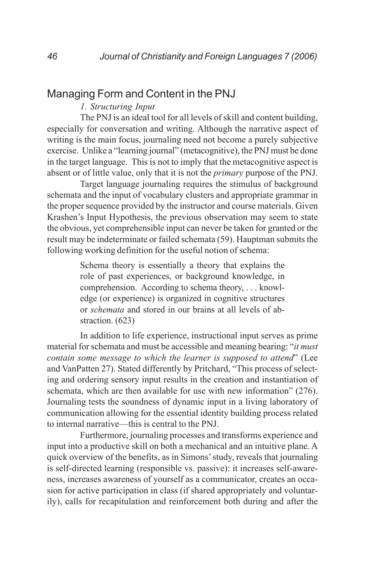# Managing Form and Content in the PNJ

### *1. Structuring Input*

The PNJ is an ideal tool for all levels of skill and content building, especially for conversation and writing. Although the narrative aspect of writing is the main focus, journaling need not become a purely subjective exercise. Unlike a "learning journal" (metacognitive), the PNJ must be done in the target language. This is not to imply that the metacognitive aspect is absent or of little value, only that it is not the *primary* purpose of the PNJ.

Target language journaling requires the stimulus of background schemata and the input of vocabulary clusters and appropriate grammar in the proper sequence provided by the instructor and course materials. Given Krashen's Input Hypothesis, the previous observation may seem to state the obvious, yet comprehensible input can never be taken for granted or the result may be indeterminate or failed schemata (59). Hauptman submits the following working definition for the useful notion of schema:

> Schema theory is essentially a theory that explains the role of past experiences, or background knowledge, in comprehension. According to schema theory, . . . knowledge (or experience) is organized in cognitive structures or *schemata* and stored in our brains at all levels of abstraction. (623)

In addition to life experience, instructional input serves as prime material for schemata and must be accessible and meaning bearing: "*it must contain some message to which the learner is supposed to attend*" (Lee and VanPatten 27). Stated differently by Pritchard, "This process of selecting and ordering sensory input results in the creation and instantiation of schemata, which are then available for use with new information" (276). Journaling tests the soundness of dynamic input in a living laboratory of communication allowing for the essential identity building process related to internal narrative—this is central to the PNJ.

Furthermore, journaling processes and transforms experience and input into a productive skill on both a mechanical and an intuitive plane. A quick overview of the benefits, as in Simons' study, reveals that journaling is self-directed learning (responsible vs. passive): it increases self-awareness, increases awareness of yourself as a communicator, creates an occasion for active participation in class (if shared appropriately and voluntarily), calls for recapitulation and reinforcement both during and after the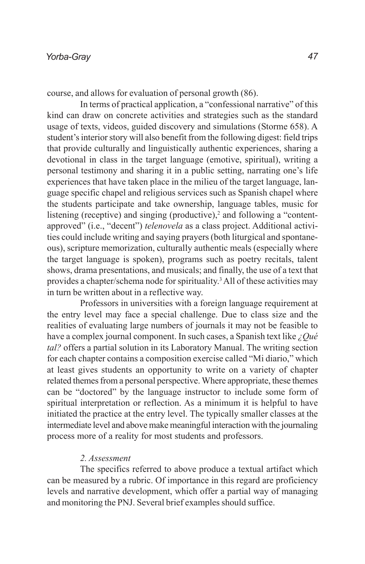course, and allows for evaluation of personal growth (86).

In terms of practical application, a "confessional narrative" of this kind can draw on concrete activities and strategies such as the standard usage of texts, videos, guided discovery and simulations (Storme 658). A student's interior story will also benefit from the following digest: field trips that provide culturally and linguistically authentic experiences, sharing a devotional in class in the target language (emotive, spiritual), writing a personal testimony and sharing it in a public setting, narrating one's life experiences that have taken place in the milieu of the target language, language specific chapel and religious services such as Spanish chapel where the students participate and take ownership, language tables, music for listening (receptive) and singing (productive), $2$  and following a "contentapproved" (i.e., "decent") *telenovela* as a class project. Additional activities could include writing and saying prayers (both liturgical and spontaneous), scripture memorization, culturally authentic meals (especially where the target language is spoken), programs such as poetry recitals, talent shows, drama presentations, and musicals; and finally, the use of a text that provides a chapter/schema node for spirituality.<sup>3</sup> All of these activities may in turn be written about in a reflective way.

Professors in universities with a foreign language requirement at the entry level may face a special challenge. Due to class size and the realities of evaluating large numbers of journals it may not be feasible to have a complex journal component. In such cases, a Spanish text like *¿Qué tal?* offers a partial solution in its Laboratory Manual. The writing section for each chapter contains a composition exercise called "Mi diario," which at least gives students an opportunity to write on a variety of chapter related themes from a personal perspective. Where appropriate, these themes can be "doctored" by the language instructor to include some form of spiritual interpretation or reflection. As a minimum it is helpful to have initiated the practice at the entry level. The typically smaller classes at the intermediate level and above make meaningful interaction with the journaling process more of a reality for most students and professors.

### *2. Assessment*

The specifics referred to above produce a textual artifact which can be measured by a rubric. Of importance in this regard are proficiency levels and narrative development, which offer a partial way of managing and monitoring the PNJ. Several brief examples should suffice.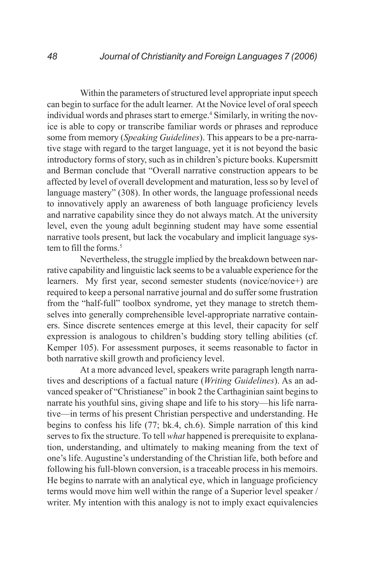Within the parameters of structured level appropriate input speech can begin to surface for the adult learner. At the Novice level of oral speech individual words and phrases start to emerge.<sup>4</sup> Similarly, in writing the novice is able to copy or transcribe familiar words or phrases and reproduce some from memory (*Speaking Guidelines*). This appears to be a pre-narrative stage with regard to the target language, yet it is not beyond the basic introductory forms of story, such as in children's picture books. Kupersmitt and Berman conclude that "Overall narrative construction appears to be affected by level of overall development and maturation, less so by level of language mastery" (308). In other words, the language professional needs to innovatively apply an awareness of both language proficiency levels and narrative capability since they do not always match. At the university level, even the young adult beginning student may have some essential narrative tools present, but lack the vocabulary and implicit language system to fill the forms.<sup>5</sup>

Nevertheless, the struggle implied by the breakdown between narrative capability and linguistic lack seems to be a valuable experience for the learners. My first year, second semester students (novice/novice+) are required to keep a personal narrative journal and do suffer some frustration from the "half-full" toolbox syndrome, yet they manage to stretch themselves into generally comprehensible level-appropriate narrative containers. Since discrete sentences emerge at this level, their capacity for self expression is analogous to children's budding story telling abilities (cf. Kemper 105). For assessment purposes, it seems reasonable to factor in both narrative skill growth and proficiency level.

At a more advanced level, speakers write paragraph length narratives and descriptions of a factual nature (*Writing Guidelines*). As an advanced speaker of "Christianese" in book 2 the Carthaginian saint begins to narrate his youthful sins, giving shape and life to his story—his life narrative—in terms of his present Christian perspective and understanding. He begins to confess his life (77; bk.4, ch.6). Simple narration of this kind serves to fix the structure. To tell *what* happened is prerequisite to explanation, understanding, and ultimately to making meaning from the text of one's life. Augustine's understanding of the Christian life, both before and following his full-blown conversion, is a traceable process in his memoirs. He begins to narrate with an analytical eye, which in language proficiency terms would move him well within the range of a Superior level speaker / writer. My intention with this analogy is not to imply exact equivalencies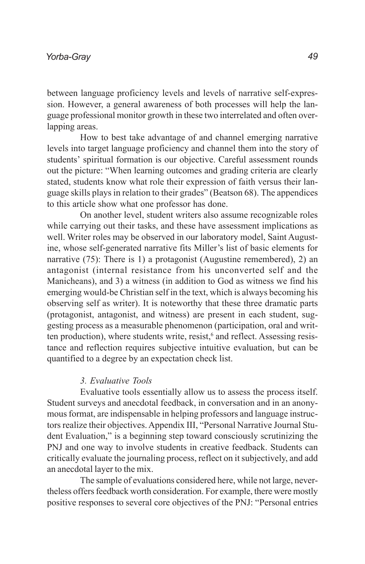between language proficiency levels and levels of narrative self-expression. However, a general awareness of both processes will help the language professional monitor growth in these two interrelated and often overlapping areas.

How to best take advantage of and channel emerging narrative levels into target language proficiency and channel them into the story of students' spiritual formation is our objective. Careful assessment rounds out the picture: "When learning outcomes and grading criteria are clearly stated, students know what role their expression of faith versus their language skills plays in relation to their grades" (Beatson 68). The appendices to this article show what one professor has done.

On another level, student writers also assume recognizable roles while carrying out their tasks, and these have assessment implications as well. Writer roles may be observed in our laboratory model, Saint Augustine, whose self-generated narrative fits Miller's list of basic elements for narrative (75): There is 1) a protagonist (Augustine remembered), 2) an antagonist (internal resistance from his unconverted self and the Manicheans), and 3) a witness (in addition to God as witness we find his emerging would-be Christian self in the text, which is always becoming his observing self as writer). It is noteworthy that these three dramatic parts (protagonist, antagonist, and witness) are present in each student, suggesting process as a measurable phenomenon (participation, oral and written production), where students write, resist,<sup>6</sup> and reflect. Assessing resistance and reflection requires subjective intuitive evaluation, but can be quantified to a degree by an expectation check list.

#### *3. Evaluative Tools*

Evaluative tools essentially allow us to assess the process itself. Student surveys and anecdotal feedback, in conversation and in an anonymous format, are indispensable in helping professors and language instructors realize their objectives. Appendix III, "Personal Narrative Journal Student Evaluation," is a beginning step toward consciously scrutinizing the PNJ and one way to involve students in creative feedback. Students can critically evaluate the journaling process, reflect on it subjectively, and add an anecdotal layer to the mix.

The sample of evaluations considered here, while not large, nevertheless offers feedback worth consideration. For example, there were mostly positive responses to several core objectives of the PNJ: "Personal entries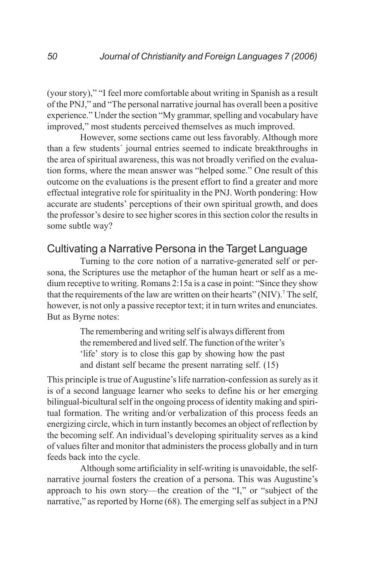(your story)," "I feel more comfortable about writing in Spanish as a result of the PNJ," and "The personal narrative journal has overall been a positive experience." Under the section "My grammar, spelling and vocabulary have improved," most students perceived themselves as much improved.

However, some sections came out less favorably. Although more than a few students´ journal entries seemed to indicate breakthroughs in the area of spiritual awareness, this was not broadly verified on the evaluation forms, where the mean answer was "helped some." One result of this outcome on the evaluations is the present effort to find a greater and more effectual integrative role for spirituality in the PNJ. Worth pondering: How accurate are students' perceptions of their own spiritual growth, and does the professor's desire to see higher scores in this section color the results in some subtle way?

## Cultivating a Narrative Persona in the Target Language

Turning to the core notion of a narrative-generated self or persona, the Scriptures use the metaphor of the human heart or self as a medium receptive to writing. Romans 2:15a is a case in point: "Since they show that the requirements of the law are written on their hearts" (NIV).<sup>7</sup> The self, however, is not only a passive receptor text; it in turn writes and enunciates. But as Byrne notes:

> The remembering and writing self is always different from the remembered and lived self. The function of the writer's 'life' story is to close this gap by showing how the past and distant self became the present narrating self. (15)

This principle is true of Augustine's life narration-confession as surely as it is of a second language learner who seeks to define his or her emerging bilingual-bicultural self in the ongoing process of identity making and spiritual formation. The writing and/or verbalization of this process feeds an energizing circle, which in turn instantly becomes an object of reflection by the becoming self. An individual's developing spirituality serves as a kind of values filter and monitor that administers the process globally and in turn feeds back into the cycle.

Although some artificiality in self-writing is unavoidable, the selfnarrative journal fosters the creation of a persona. This was Augustine's approach to his own story—the creation of the "I," or "subject of the narrative," as reported by Horne (68). The emerging self as subject in a PNJ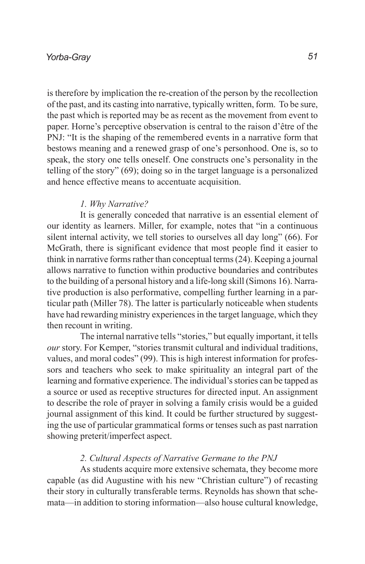#### *Yorba-Gray*

is therefore by implication the re-creation of the person by the recollection of the past, and its casting into narrative, typically written, form. To be sure, the past which is reported may be as recent as the movement from event to paper. Horne's perceptive observation is central to the raison d'être of the PNJ: "It is the shaping of the remembered events in a narrative form that bestows meaning and a renewed grasp of one's personhood. One is, so to speak, the story one tells oneself. One constructs one's personality in the telling of the story" (69); doing so in the target language is a personalized and hence effective means to accentuate acquisition.

#### *1. Why Narrative?*

It is generally conceded that narrative is an essential element of our identity as learners. Miller, for example, notes that "in a continuous silent internal activity, we tell stories to ourselves all day long" (66). For McGrath, there is significant evidence that most people find it easier to think in narrative forms rather than conceptual terms (24). Keeping a journal allows narrative to function within productive boundaries and contributes to the building of a personal history and a life-long skill (Simons 16). Narrative production is also performative, compelling further learning in a particular path (Miller 78). The latter is particularly noticeable when students have had rewarding ministry experiences in the target language, which they then recount in writing.

The internal narrative tells "stories," but equally important, it tells *our* story. For Kemper, "stories transmit cultural and individual traditions, values, and moral codes" (99). This is high interest information for professors and teachers who seek to make spirituality an integral part of the learning and formative experience. The individual's stories can be tapped as a source or used as receptive structures for directed input. An assignment to describe the role of prayer in solving a family crisis would be a guided journal assignment of this kind. It could be further structured by suggesting the use of particular grammatical forms or tenses such as past narration showing preterit/imperfect aspect.

### *2. Cultural Aspects of Narrative Germane to the PNJ*

As students acquire more extensive schemata, they become more capable (as did Augustine with his new "Christian culture") of recasting their story in culturally transferable terms. Reynolds has shown that schemata—in addition to storing information—also house cultural knowledge,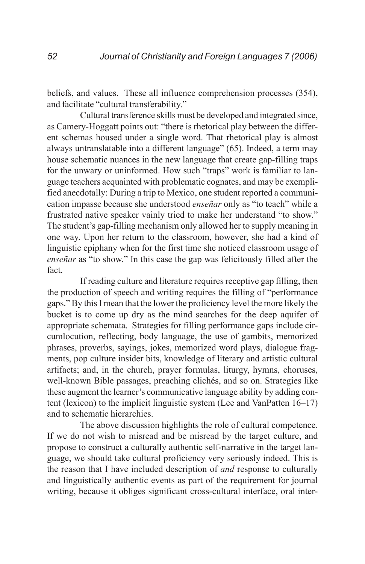beliefs, and values. These all influence comprehension processes (354), and facilitate "cultural transferability."

Cultural transference skills must be developed and integrated since, as Camery-Hoggatt points out: "there is rhetorical play between the different schemas housed under a single word. That rhetorical play is almost always untranslatable into a different language" (65). Indeed, a term may house schematic nuances in the new language that create gap-filling traps for the unwary or uninformed. How such "traps" work is familiar to language teachers acquainted with problematic cognates, and may be exemplified anecdotally: During a trip to Mexico, one student reported a communication impasse because she understood *enseñar* only as "to teach" while a frustrated native speaker vainly tried to make her understand "to show." The student's gap-filling mechanism only allowed her to supply meaning in one way. Upon her return to the classroom, however, she had a kind of linguistic epiphany when for the first time she noticed classroom usage of *enseñar* as "to show." In this case the gap was felicitously filled after the fact.

If reading culture and literature requires receptive gap filling, then the production of speech and writing requires the filling of "performance gaps." By this I mean that the lower the proficiency level the more likely the bucket is to come up dry as the mind searches for the deep aquifer of appropriate schemata. Strategies for filling performance gaps include circumlocution, reflecting, body language, the use of gambits, memorized phrases, proverbs, sayings, jokes, memorized word plays, dialogue fragments, pop culture insider bits, knowledge of literary and artistic cultural artifacts; and, in the church, prayer formulas, liturgy, hymns, choruses, well-known Bible passages, preaching clichés, and so on. Strategies like these augment the learner's communicative language ability by adding content (lexicon) to the implicit linguistic system (Lee and VanPatten 16–17) and to schematic hierarchies.

The above discussion highlights the role of cultural competence. If we do not wish to misread and be misread by the target culture, and propose to construct a culturally authentic self-narrative in the target language, we should take cultural proficiency very seriously indeed. This is the reason that I have included description of *and* response to culturally and linguistically authentic events as part of the requirement for journal writing, because it obliges significant cross-cultural interface, oral inter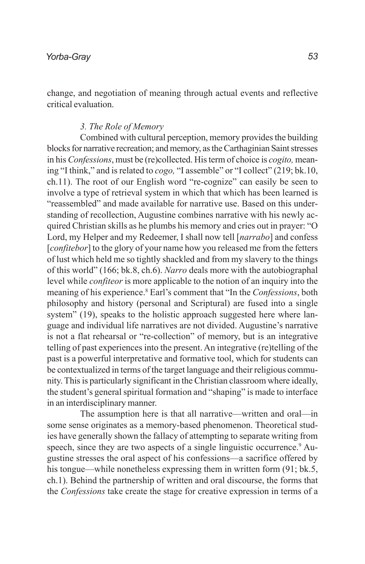change, and negotiation of meaning through actual events and reflective critical evaluation.

### *3. The Role of Memory*

Combined with cultural perception, memory provides the building blocks for narrative recreation; and memory, as the Carthaginian Saint stresses in his *Confessions*, must be (re)collected. His term of choice is *cogito,* meaning "I think," and is related to *cogo,* "I assemble" or "I collect" (219; bk.10, ch.11). The root of our English word "re-cognize" can easily be seen to involve a type of retrieval system in which that which has been learned is "reassembled" and made available for narrative use. Based on this understanding of recollection, Augustine combines narrative with his newly acquired Christian skills as he plumbs his memory and cries out in prayer: "O Lord, my Helper and my Redeemer, I shall now tell [*narrabo*] and confess [*confitebor*] to the glory of your name how you released me from the fetters of lust which held me so tightly shackled and from my slavery to the things of this world" (166; bk.8, ch.6). *Narro* deals more with the autobiographal level while *confiteor* is more applicable to the notion of an inquiry into the meaning of his experience.<sup>8</sup> Earl's comment that "In the *Confessions*, both philosophy and history (personal and Scriptural) are fused into a single system" (19), speaks to the holistic approach suggested here where language and individual life narratives are not divided. Augustine's narrative is not a flat rehearsal or "re-collection" of memory, but is an integrative telling of past experiences into the present. An integrative (re)telling of the past is a powerful interpretative and formative tool, which for students can be contextualized in terms of the target language and their religious community. This is particularly significant in the Christian classroom where ideally, the student's general spiritual formation and "shaping" is made to interface in an interdisciplinary manner.

The assumption here is that all narrative—written and oral—in some sense originates as a memory-based phenomenon. Theoretical studies have generally shown the fallacy of attempting to separate writing from speech, since they are two aspects of a single linguistic occurrence.<sup>9</sup> Augustine stresses the oral aspect of his confessions—a sacrifice offered by his tongue—while nonetheless expressing them in written form  $(91; bk.5,$ ch.1). Behind the partnership of written and oral discourse, the forms that the *Confessions* take create the stage for creative expression in terms of a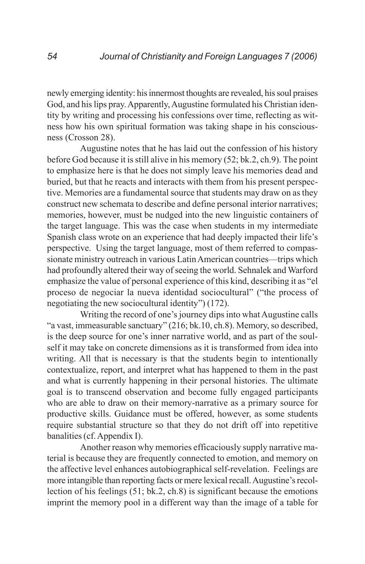newly emerging identity: his innermost thoughts are revealed, his soul praises God, and his lips pray. Apparently, Augustine formulated his Christian identity by writing and processing his confessions over time, reflecting as witness how his own spiritual formation was taking shape in his consciousness (Crosson 28).

Augustine notes that he has laid out the confession of his history before God because it is still alive in his memory (52; bk.2, ch.9). The point to emphasize here is that he does not simply leave his memories dead and buried, but that he reacts and interacts with them from his present perspective. Memories are a fundamental source that students may draw on as they construct new schemata to describe and define personal interior narratives; memories, however, must be nudged into the new linguistic containers of the target language. This was the case when students in my intermediate Spanish class wrote on an experience that had deeply impacted their life's perspective. Using the target language, most of them referred to compassionate ministry outreach in various Latin American countries—trips which had profoundly altered their way of seeing the world. Sehnalek and Warford emphasize the value of personal experience of this kind, describing it as "el proceso de negociar la nueva identidad sociocultural" ("the process of negotiating the new sociocultural identity") (172).

Writing the record of one's journey dips into what Augustine calls "a vast, immeasurable sanctuary" (216; bk.10, ch.8). Memory, so described, is the deep source for one's inner narrative world, and as part of the soulself it may take on concrete dimensions as it is transformed from idea into writing. All that is necessary is that the students begin to intentionally contextualize, report, and interpret what has happened to them in the past and what is currently happening in their personal histories. The ultimate goal is to transcend observation and become fully engaged participants who are able to draw on their memory-narrative as a primary source for productive skills. Guidance must be offered, however, as some students require substantial structure so that they do not drift off into repetitive banalities (cf. Appendix I).

Another reason why memories efficaciously supply narrative material is because they are frequently connected to emotion, and memory on the affective level enhances autobiographical self-revelation. Feelings are more intangible than reporting facts or mere lexical recall. Augustine's recollection of his feelings (51; bk.2, ch.8) is significant because the emotions imprint the memory pool in a different way than the image of a table for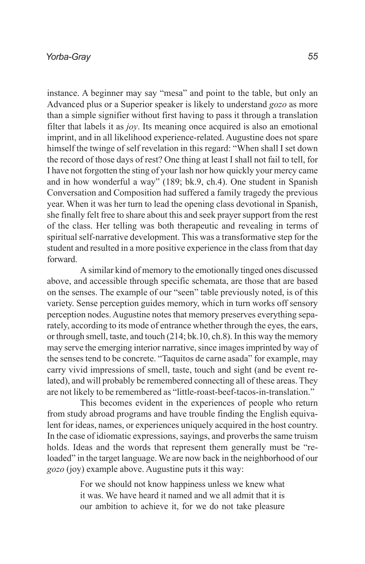instance. A beginner may say "mesa" and point to the table, but only an Advanced plus or a Superior speaker is likely to understand *gozo* as more than a simple signifier without first having to pass it through a translation filter that labels it as *joy*. Its meaning once acquired is also an emotional imprint, and in all likelihood experience-related. Augustine does not spare himself the twinge of self revelation in this regard: "When shall I set down the record of those days of rest? One thing at least I shall not fail to tell, for I have not forgotten the sting of your lash nor how quickly your mercy came and in how wonderful a way" (189; bk.9, ch.4). One student in Spanish Conversation and Composition had suffered a family tragedy the previous year. When it was her turn to lead the opening class devotional in Spanish, she finally felt free to share about this and seek prayer support from the rest of the class. Her telling was both therapeutic and revealing in terms of spiritual self-narrative development. This was a transformative step for the student and resulted in a more positive experience in the class from that day forward.

A similar kind of memory to the emotionally tinged ones discussed above, and accessible through specific schemata, are those that are based on the senses. The example of our "seen" table previously noted, is of this variety. Sense perception guides memory, which in turn works off sensory perception nodes. Augustine notes that memory preserves everything separately, according to its mode of entrance whether through the eyes, the ears, or through smell, taste, and touch (214; bk.10, ch.8). In this way the memory may serve the emerging interior narrative, since images imprinted by way of the senses tend to be concrete. "Taquitos de carne asada" for example, may carry vivid impressions of smell, taste, touch and sight (and be event related), and will probably be remembered connecting all of these areas. They are not likely to be remembered as "little-roast-beef-tacos-in-translation."

This becomes evident in the experiences of people who return from study abroad programs and have trouble finding the English equivalent for ideas, names, or experiences uniquely acquired in the host country. In the case of idiomatic expressions, sayings, and proverbs the same truism holds. Ideas and the words that represent them generally must be "reloaded" in the target language. We are now back in the neighborhood of our *gozo* (joy) example above. Augustine puts it this way:

> For we should not know happiness unless we knew what it was. We have heard it named and we all admit that it is our ambition to achieve it, for we do not take pleasure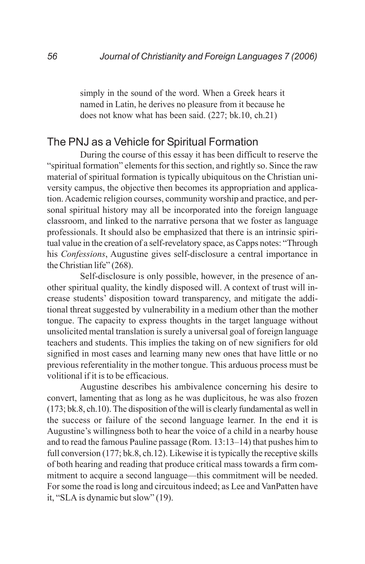simply in the sound of the word. When a Greek hears it named in Latin, he derives no pleasure from it because he does not know what has been said. (227; bk.10, ch.21)

## The PNJ as a Vehicle for Spiritual Formation

During the course of this essay it has been difficult to reserve the "spiritual formation" elements for this section, and rightly so. Since the raw material of spiritual formation is typically ubiquitous on the Christian university campus, the objective then becomes its appropriation and application. Academic religion courses, community worship and practice, and personal spiritual history may all be incorporated into the foreign language classroom, and linked to the narrative persona that we foster as language professionals. It should also be emphasized that there is an intrinsic spiritual value in the creation of a self-revelatory space, as Capps notes: "Through his *Confessions*, Augustine gives self-disclosure a central importance in the Christian life" (268).

Self-disclosure is only possible, however, in the presence of another spiritual quality, the kindly disposed will. A context of trust will increase students' disposition toward transparency, and mitigate the additional threat suggested by vulnerability in a medium other than the mother tongue. The capacity to express thoughts in the target language without unsolicited mental translation is surely a universal goal of foreign language teachers and students. This implies the taking on of new signifiers for old signified in most cases and learning many new ones that have little or no previous referentiality in the mother tongue. This arduous process must be volitional if it is to be efficacious.

Augustine describes his ambivalence concerning his desire to convert, lamenting that as long as he was duplicitous, he was also frozen (173; bk.8, ch.10). The disposition of the will is clearly fundamental as well in the success or failure of the second language learner. In the end it is Augustine's willingness both to hear the voice of a child in a nearby house and to read the famous Pauline passage (Rom. 13:13–14) that pushes him to full conversion (177; bk.8, ch.12). Likewise it is typically the receptive skills of both hearing and reading that produce critical mass towards a firm commitment to acquire a second language—this commitment will be needed. For some the road is long and circuitous indeed; as Lee and VanPatten have it, "SLA is dynamic but slow" (19).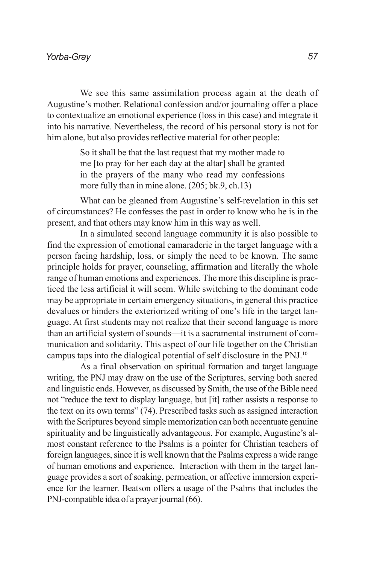We see this same assimilation process again at the death of Augustine's mother. Relational confession and/or journaling offer a place to contextualize an emotional experience (loss in this case) and integrate it into his narrative. Nevertheless, the record of his personal story is not for him alone, but also provides reflective material for other people:

> So it shall be that the last request that my mother made to me [to pray for her each day at the altar] shall be granted in the prayers of the many who read my confessions more fully than in mine alone. (205; bk.9, ch.13)

What can be gleaned from Augustine's self-revelation in this set of circumstances? He confesses the past in order to know who he is in the present, and that others may know him in this way as well.

In a simulated second language community it is also possible to find the expression of emotional camaraderie in the target language with a person facing hardship, loss, or simply the need to be known. The same principle holds for prayer, counseling, affirmation and literally the whole range of human emotions and experiences. The more this discipline is practiced the less artificial it will seem. While switching to the dominant code may be appropriate in certain emergency situations, in general this practice devalues or hinders the exteriorized writing of one's life in the target language. At first students may not realize that their second language is more than an artificial system of sounds—it is a sacramental instrument of communication and solidarity. This aspect of our life together on the Christian campus taps into the dialogical potential of self disclosure in the PNJ.10

As a final observation on spiritual formation and target language writing, the PNJ may draw on the use of the Scriptures, serving both sacred and linguistic ends. However, as discussed by Smith, the use of the Bible need not "reduce the text to display language, but [it] rather assists a response to the text on its own terms" (74). Prescribed tasks such as assigned interaction with the Scriptures beyond simple memorization can both accentuate genuine spirituality and be linguistically advantageous. For example, Augustine's almost constant reference to the Psalms is a pointer for Christian teachers of foreign languages, since it is well known that the Psalms express a wide range of human emotions and experience. Interaction with them in the target language provides a sort of soaking, permeation, or affective immersion experience for the learner. Beatson offers a usage of the Psalms that includes the PNJ-compatible idea of a prayer journal (66).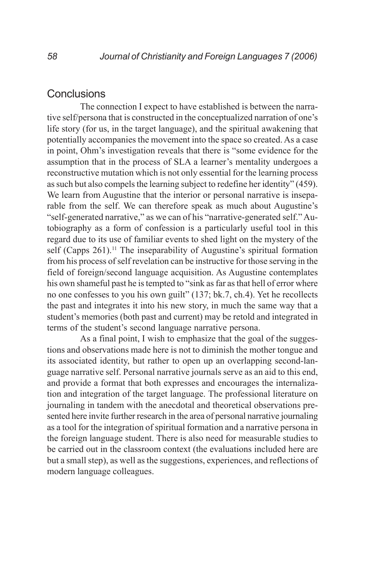## **Conclusions**

The connection I expect to have established is between the narrative self/persona that is constructed in the conceptualized narration of one's life story (for us, in the target language), and the spiritual awakening that potentially accompanies the movement into the space so created. As a case in point, Ohm's investigation reveals that there is "some evidence for the assumption that in the process of SLA a learner's mentality undergoes a reconstructive mutation which is not only essential for the learning process as such but also compels the learning subject to redefine her identity" (459). We learn from Augustine that the interior or personal narrative is inseparable from the self. We can therefore speak as much about Augustine's "self-generated narrative," as we can of his "narrative-generated self." Autobiography as a form of confession is a particularly useful tool in this regard due to its use of familiar events to shed light on the mystery of the self (Capps  $261$ ).<sup>11</sup> The inseparability of Augustine's spiritual formation from his process of self revelation can be instructive for those serving in the field of foreign/second language acquisition. As Augustine contemplates his own shameful past he is tempted to "sink as far as that hell of error where no one confesses to you his own guilt" (137; bk.7, ch.4). Yet he recollects the past and integrates it into his new story, in much the same way that a student's memories (both past and current) may be retold and integrated in terms of the student's second language narrative persona.

As a final point, I wish to emphasize that the goal of the suggestions and observations made here is not to diminish the mother tongue and its associated identity, but rather to open up an overlapping second-language narrative self. Personal narrative journals serve as an aid to this end, and provide a format that both expresses and encourages the internalization and integration of the target language. The professional literature on journaling in tandem with the anecdotal and theoretical observations presented here invite further research in the area of personal narrative journaling as a tool for the integration of spiritual formation and a narrative persona in the foreign language student. There is also need for measurable studies to be carried out in the classroom context (the evaluations included here are but a small step), as well as the suggestions, experiences, and reflections of modern language colleagues.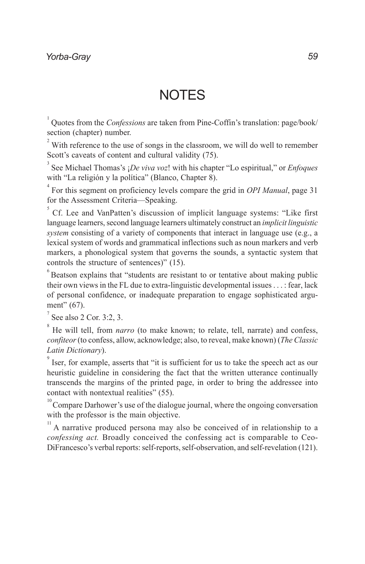# **NOTES**

<sup>1</sup> Quotes from the *Confessions* are taken from Pine-Coffin's translation: page/book/ section (chapter) number.

 $2<sup>2</sup>$  With reference to the use of songs in the classroom, we will do well to remember Scott's caveats of content and cultural validity (75).

3 See Michael Thomas's ¡*De viva voz*! with his chapter "Lo espiritual," or *Enfoques* with "La religión y la política" (Blanco, Chapter 8).

4 For this segment on proficiency levels compare the grid in *OPI Manual*, page 31 for the Assessment Criteria—Speaking.

 $5^{\circ}$  Cf. Lee and VanPatten's discussion of implicit language systems: "Like first language learners, second language learners ultimately construct an *implicit linguistic system* consisting of a variety of components that interact in language use (e.g., a lexical system of words and grammatical inflections such as noun markers and verb markers, a phonological system that governs the sounds, a syntactic system that controls the structure of sentences)" (15).

 $6$  Beatson explains that "students are resistant to or tentative about making public their own views in the FL due to extra-linguistic developmental issues . . . : fear, lack of personal confidence, or inadequate preparation to engage sophisticated argument" (67).

 $7$  See also 2 Cor. 3:2, 3.

<sup>8</sup> He will tell, from *narro* (to make known; to relate, tell, narrate) and confess, *confiteor* (to confess, allow, acknowledge; also, to reveal, make known) (*The Classic Latin Dictionary*).

<sup>9</sup> Iser, for example, asserts that "it is sufficient for us to take the speech act as our heuristic guideline in considering the fact that the written utterance continually transcends the margins of the printed page, in order to bring the addressee into contact with nontextual realities" (55).

 $10^{\circ}$  Compare Darhower's use of the dialogue journal, where the ongoing conversation with the professor is the main objective.

<sup>11</sup> A narrative produced persona may also be conceived of in relationship to a *confessing act.* Broadly conceived the confessing act is comparable to Ceo-DiFrancesco's verbal reports: self-reports, self-observation, and self-revelation (121).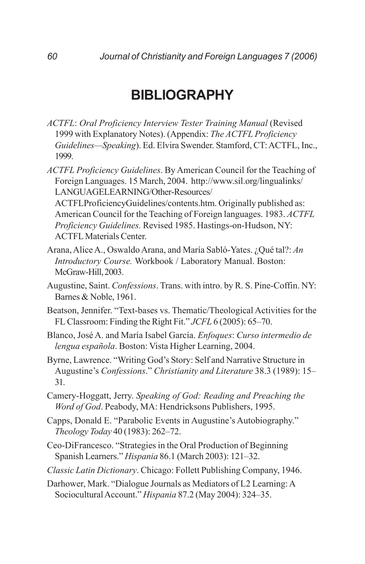# **BIBLIOGRAPHY**

- *ACTFL*: *Oral Proficiency Interview Tester Training Manual* (Revised 1999 with Explanatory Notes). (Appendix: *The ACTFL Proficiency Guidelines—Speaking*). Ed. Elvira Swender. Stamford, CT: ACTFL, Inc., 1999.
- *ACTFL Proficiency Guidelines*. By American Council for the Teaching of Foreign Languages. 15 March, 2004. http://www.sil.org/lingualinks/ LANGUAGELEARNING/Other-Resources/

ACTFLProficiencyGuidelines/contents.htm. Originally published as: American Council for the Teaching of Foreign languages. 1983. *ACTFL Proficiency Guidelines.* Revised 1985. Hastings-on-Hudson, NY: ACTFL Materials Center.

- Arana, Alice A., Oswaldo Arana, and María Sabló-Yates. ¿Qué tal?: *An Introductory Course.* Workbook / Laboratory Manual. Boston: McGraw-Hill, 2003.
- Augustine, Saint. *Confessions*. Trans. with intro. by R. S. Pine-Coffin. NY: Barnes & Noble, 1961.
- Beatson, Jennifer. "Text-bases vs. Thematic/Theological Activities for the FL Classroom: Finding the Right Fit." *JCFL* 6 (2005): 65–70.
- Blanco, José A. and María Isabel García. *Enfoques*: *Curso intermedio de lengua española*. Boston: Vista Higher Learning, 2004.
- Byrne, Lawrence. "Writing God's Story: Self and Narrative Structure in Augustine's *Confessions*." *Christianity and Literature* 38.3 (1989): 15– 31.
- Camery-Hoggatt, Jerry. *Speaking of God: Reading and Preaching the Word of God*. Peabody, MA: Hendricksons Publishers, 1995.
- Capps, Donald E. "Parabolic Events in Augustine's Autobiography." *Theology Today* 40 (1983): 262–72.
- Ceo-DiFrancesco. "Strategies in the Oral Production of Beginning Spanish Learners." *Hispania* 86.1 (March 2003): 121–32.
- *Classic Latin Dictionary*. Chicago: Follett Publishing Company, 1946.

Darhower, Mark. "Dialogue Journals as Mediators of L2 Learning: A Sociocultural Account." *Hispania* 87.2 (May 2004): 324–35.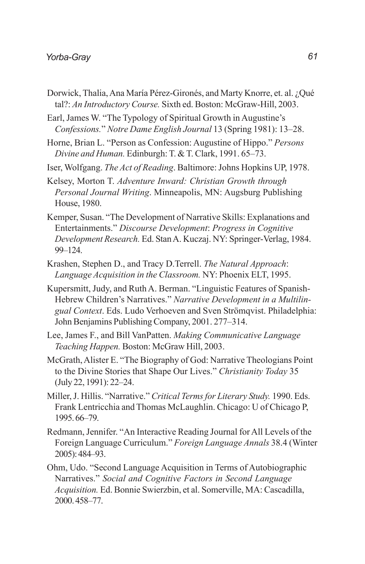- Dorwick, Thalia, Ana María Pérez-Gironés, and Marty Knorre, et. al. ¿Qué tal?: *An Introductory Course.* Sixth ed. Boston: McGraw-Hill, 2003.
- Earl, James W. "The Typology of Spiritual Growth in Augustine's *Confessions.*" *Notre Dame English Journal* 13 (Spring 1981): 13–28.
- Horne, Brian L. "Person as Confession: Augustine of Hippo." *Persons Divine and Human.* Edinburgh: T. & T. Clark, 1991. 65–73.
- Iser, Wolfgang. *The Act of Reading*. Baltimore: Johns Hopkins UP, 1978.
- Kelsey, Morton T. *Adventure Inward: Christian Growth through Personal Journal Writing*. Minneapolis, MN: Augsburg Publishing House, 1980.
- Kemper, Susan. "The Development of Narrative Skills: Explanations and Entertainments." *Discourse Development*: *Progress in Cognitive Development Research.* Ed. Stan A. Kuczaj. NY: Springer-Verlag, 1984. 99–124.
- Krashen, Stephen D., and Tracy D.Terrell. *The Natural Approach*: *Language Acquisition in the Classroom.* NY: Phoenix ELT, 1995.
- Kupersmitt, Judy, and Ruth A. Berman. "Linguistic Features of Spanish-Hebrew Children's Narratives." *Narrative Development in a Multilingual Context*. Eds. Ludo Verhoeven and Sven Strömqvist. Philadelphia: John Benjamins Publishing Company, 2001. 277–314.
- Lee, James F., and Bill VanPatten. *Making Communicative Language Teaching Happen.* Boston: McGraw Hill, 2003.
- McGrath, Alister E. "The Biography of God: Narrative Theologians Point to the Divine Stories that Shape Our Lives." *Christianity Today* 35 (July 22, 1991): 22–24.
- Miller, J. Hillis. "Narrative." *Critical Terms for Literary Study.* 1990. Eds. Frank Lentricchia and Thomas McLaughlin. Chicago: U of Chicago P, 1995. 66–79.
- Redmann, Jennifer. "An Interactive Reading Journal for All Levels of the Foreign Language Curriculum." *Foreign Language Annals* 38.4 (Winter 2005): 484–93.
- Ohm, Udo. "Second Language Acquisition in Terms of Autobiographic Narratives." *Social and Cognitive Factors in Second Language Acquisition.* Ed. Bonnie Swierzbin, et al. Somerville, MA: Cascadilla, 2000. 458–77.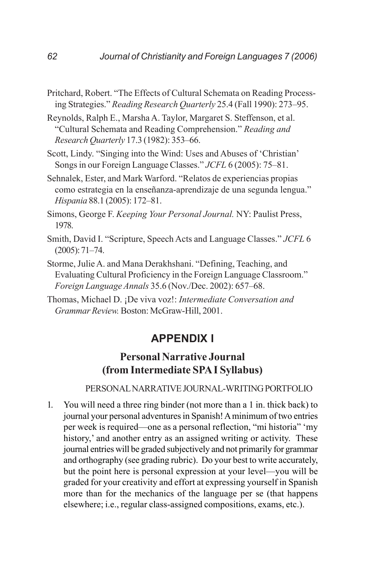- Pritchard, Robert. "The Effects of Cultural Schemata on Reading Processing Strategies." *Reading Research Quarterly* 25.4 (Fall 1990): 273–95.
- Reynolds, Ralph E., Marsha A. Taylor, Margaret S. Steffenson, et al. "Cultural Schemata and Reading Comprehension." *Reading and Research Quarterly* 17.3 (1982): 353–66.
- Scott, Lindy. "Singing into the Wind: Uses and Abuses of 'Christian' Songs in our Foreign Language Classes." *JCFL* 6 (2005): 75–81.
- Sehnalek, Ester, and Mark Warford. "Relatos de experiencias propias como estrategia en la enseñanza-aprendizaje de una segunda lengua." *Hispania* 88.1 (2005): 172–81.
- Simons, George F. *Keeping Your Personal Journal.* NY: Paulist Press, 1978.
- Smith, David I. "Scripture, Speech Acts and Language Classes." *JCFL* 6 (2005): 71–74.
- Storme, Julie A. and Mana Derakhshani. "Defining, Teaching, and Evaluating Cultural Proficiency in the Foreign Language Classroom." *Foreign Language Annals* 35.6 (Nov./Dec. 2002): 657–68.
- Thomas, Michael D. ¡De viva voz!: *Intermediate Conversation and Grammar Review.* Boston: McGraw-Hill, 2001.

## **APPENDIX I**

# **Personal Narrative Journal (from Intermediate SPA I Syllabus)**

#### PERSONAL NARRATIVE JOURNAL-WRITING PORTFOLIO

1. You will need a three ring binder (not more than a 1 in. thick back) to journal your personal adventures in Spanish! A minimum of two entries per week is required—one as a personal reflection, "mi historia" 'my history,' and another entry as an assigned writing or activity. These journal entries will be graded subjectively and not primarily for grammar and orthography (see grading rubric). Do your best to write accurately, but the point here is personal expression at your level—you will be graded for your creativity and effort at expressing yourself in Spanish more than for the mechanics of the language per se (that happens elsewhere; i.e., regular class-assigned compositions, exams, etc.).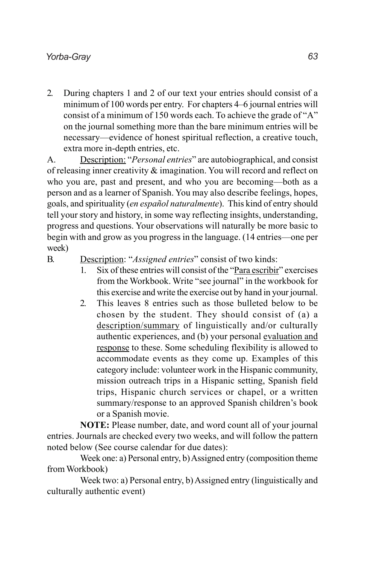2. During chapters 1 and 2 of our text your entries should consist of a minimum of 100 words per entry. For chapters 4–6 journal entries will consist of a minimum of 150 words each. To achieve the grade of "A" on the journal something more than the bare minimum entries will be necessary—evidence of honest spiritual reflection, a creative touch, extra more in-depth entries, etc.

A. Description: "*Personal entries*" are autobiographical, and consist of releasing inner creativity & imagination. You will record and reflect on who you are, past and present, and who you are becoming—both as a person and as a learner of Spanish. You may also describe feelings, hopes, goals, and spirituality (*en español naturalmente*). This kind of entry should tell your story and history, in some way reflecting insights, understanding, progress and questions. Your observations will naturally be more basic to begin with and grow as you progress in the language. (14 entries—one per week)

### B. Description: "*Assigned entries*" consist of two kinds:

- 1. Six of these entries will consist of the "Para escribir" exercises from the Workbook. Write "see journal" in the workbook for this exercise and write the exercise out by hand in your journal.
- 2. This leaves 8 entries such as those bulleted below to be chosen by the student. They should consist of (a) a description/summary of linguistically and/or culturally authentic experiences, and (b) your personal evaluation and response to these. Some scheduling flexibility is allowed to accommodate events as they come up. Examples of this category include: volunteer work in the Hispanic community, mission outreach trips in a Hispanic setting, Spanish field trips, Hispanic church services or chapel, or a written summary/response to an approved Spanish children's book or a Spanish movie.

**NOTE:** Please number, date, and word count all of your journal entries. Journals are checked every two weeks, and will follow the pattern noted below (See course calendar for due dates):

Week one: a) Personal entry, b) Assigned entry (composition theme from Workbook)

Week two: a) Personal entry, b) Assigned entry (linguistically and culturally authentic event)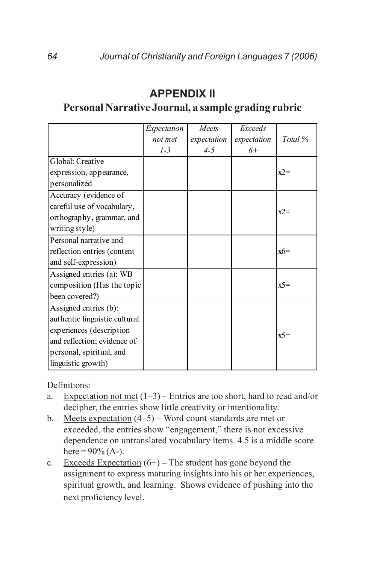#### *Expectation not met 1-3 Meets expectation 4-5 Exceeds expectation 6+ Total %* Global: Creative expression, appearance, personalized  $x^2$ = Accuracy (evidence of careful use of vocabulary, orthography, grammar, and writing style)  $x2=$ Personal narrative and reflection entries (content and self-expression)  $x6=$ Assigned entries (a): WB composition (Has the topic been covered?)  $x^2$ Assigned entries (b): authentic linguistic cultural experiences (description and reflection; evidence of personal, spiritual, and linguistic growth)  $x^5$ =

# **APPENDIX II**

# **Personal Narrative Journal, a sample grading rubric**

Definitions:

- a. Expectation not met  $(1-3)$  Entries are too short, hard to read and/or decipher, the entries show little creativity or intentionality.
- b. Meets expectation (4–5) Word count standards are met or exceeded, the entries show "engagement," there is not excessive dependence on untranslated vocabulary items. 4.5 is a middle score here =  $90\%$  (A-).
- c. Exceeds Expectation  $(6+)$  The student has gone beyond the assignment to express maturing insights into his or her experiences, spiritual growth, and learning. Shows evidence of pushing into the next proficiency level.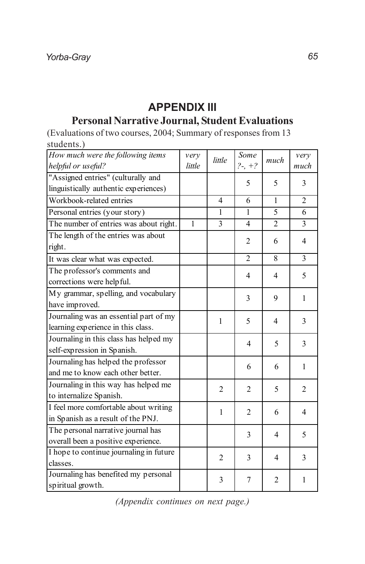# **APPENDIX III Personal Narrative Journal, Student Evaluations**

(Evaluations of two courses, 2004; Summary of responses from 13 students.)

| How much were the following items       | very         | little         | Some           | much           | very           |
|-----------------------------------------|--------------|----------------|----------------|----------------|----------------|
| helpful or useful?                      | little       |                | $?-, +?$       |                | much           |
| "Assigned entries" (culturally and      |              |                | 5              | 5              | 3              |
| linguistically authentic experiences)   |              |                |                |                |                |
| Workbook-related entries                |              | $\overline{4}$ | 6              | $\mathbf{1}$   | $\overline{c}$ |
| Personal entries (your story)           |              | 1              | 1              | 5              | 6              |
| The number of entries was about right.  | $\mathbf{1}$ | 3              | $\overline{4}$ | $\overline{2}$ | 3              |
| The length of the entries was about     |              |                | $\overline{2}$ | 6              | 4              |
| right.                                  |              |                |                |                |                |
| It was clear what was expected.         |              |                | $\overline{2}$ | 8              | 3              |
| The professor's comments and            |              |                | 4              | 4              | 5              |
| corrections were helpful.               |              |                |                |                |                |
| My grammar, spelling, and vocabulary    |              |                | 3              | 9              | $\mathbf{1}$   |
| have improved.                          |              |                |                |                |                |
| Journaling was an essential part of my  |              | $\mathbf{1}$   | 5              | 4              | 3              |
| learning experience in this class.      |              |                |                |                |                |
| Journaling in this class has helped my  |              |                | 4              | 5              | 3              |
| self-expression in Spanish.             |              |                |                |                |                |
| Journaling has helped the professor     |              |                | 6              | 6              | 1              |
| and me to know each other better.       |              |                |                |                |                |
| Journaling in this way has helped me    |              | $\overline{2}$ | $\overline{c}$ | 5              | $\overline{2}$ |
| to internalize Spanish.                 |              |                |                |                |                |
| I feel more comfortable about writing   |              | 1              | $\overline{c}$ | 6              | 4              |
| in Spanish as a result of the PNJ.      |              |                |                |                |                |
| The personal narrative journal has      |              |                | 3              | 4              | 5              |
| overall been a positive experience.     |              |                |                |                |                |
| I hope to continue journaling in future |              | 2              | 3              | 4              | 3              |
| classes.                                |              |                |                |                |                |
| Journaling has benefited my personal    |              | 3              | 7              | $\overline{2}$ | 1              |
| spiritual growth.                       |              |                |                |                |                |

*(Appendix continues on next page.)*